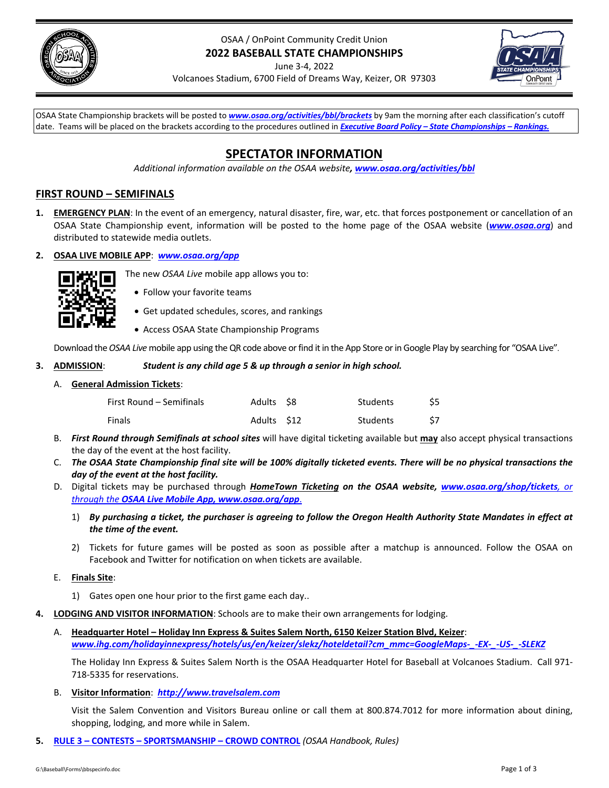

# OSAA / OnPoint Community Credit Union **2022 BASEBALL STATE CHAMPIONSHIPS**

June 3‐4, 2022



Volcanoes Stadium, 6700 Field of Dreams Way, Keizer, OR 97303

OSAA State Championship brackets will be posted to *[www.osaa.org/activities/bbl/brackets](https://www.osaa.org/activities/bbl/brackets)* by 9am the morning after each classification's cutoff date. Teams will be placed on the brackets according to the procedures outlined in *Executive Board Policy – State [Championships](https://www.osaa.org/governance/handbooks/osaa#_Toc456100456) – Rankings.*

# **SPECTATOR INFORMATION**

*Additional information available on the OSAA website, [www.osaa.org/activities/bbl](https://www.osaa.org/activities/bbl)*

# **FIRST ROUND – SEMIFINALS**

- **1. EMERGENCY PLAN**: In the event of an emergency, natural disaster, fire, war, etc. that forces postponement or cancellation of an OSAA State Championship event, information will be posted to the home page of the OSAA website (*[www.osaa.org](https://www.osaa.org)*) and distributed to statewide media outlets.
- **2. OSAA LIVE MOBILE APP**: *[www.osaa.org/app](https://www.osaa.org/app)*



- Follow your favorite teams
- Get updated schedules, scores, and rankings

The new *OSAA Live* mobile app allows you to:

Access OSAA State Championship Programs

Download the OSAA Live mobile app using the QR code above or find it in the App Store or in Google Play by searching for "OSAA Live".

## **3. ADMISSION**: *Student is any child age 5 & up through a senior in high school.*

## A. **General Admission Tickets**:

| First Round – Semifinals | Adults S8  | Students | \$5 |
|--------------------------|------------|----------|-----|
| <b>Finals</b>            | Adults S12 | Students |     |

- B. *First Round through Semifinals at school sites* will have digital ticketing available but **may** also accept physical transactions the day of the event at the host facility.
- C. The OSAA State Championship final site will be 100% digitally ticketed events. There will be no physical transactions the *day of the event at the host facility.*
- D. Digital tickets may be purchased through *HomeTown Ticketing on the OSAA website, [www.osaa.org/shop/tickets](https://www.osaa.org/shop/tickets), or through the OSAA Live Mobile App, [www.osaa.org/app](https://www.osaa.org/app)*.
	- 1) By purchasing a ticket, the purchaser is agreeing to follow the Oregon Health Authority State Mandates in effect at *the time of the event.*
	- 2) Tickets for future games will be posted as soon as possible after a matchup is announced. Follow the OSAA on Facebook and Twitter for notification on when tickets are available.

## E. **Finals Site**:

- 1) Gates open one hour prior to the first game each day..
- **4. LODGING AND VISITOR INFORMATION**: Schools are to make their own arrangements for lodging.
	- A. **Headquarter Hotel – Holiday Inn Express & Suites Salem North, 6150 Keizer Station Blvd, Keizer**: *[www.ihg.com/holidayinnexpress/hotels/us/en/keizer/slekz/hoteldetail?cm\\_mmc=GoogleMaps](https://www.ihg.com/holidayinnexpress/hotels/us/en/keizer/slekz/hoteldetail?cm_mmc=GoogleMaps-_-EX-_-US-_-SLEKZ)‐\_‐EX‐\_‐US‐\_‐SLEKZ*

The Holiday Inn Express & Suites Salem North is the OSAA Headquarter Hotel for Baseball at Volcanoes Stadium. Call 971‐ 718‐5335 for reservations.

B. **Visitor Information**: *[http://www.travelsalem.com](https://www.travelsalem.com/)*

Visit the Salem Convention and Visitors Bureau online or call them at 800.874.7012 for more information about dining, shopping, lodging, and more while in Salem.

**5. RULE 3 – CONTESTS – [SPORTSMANSHIP](https://www.osaa.org/governance/handbooks/osaa#_Toc456100266) – CROWD CONTROL** *(OSAA Handbook, Rules)*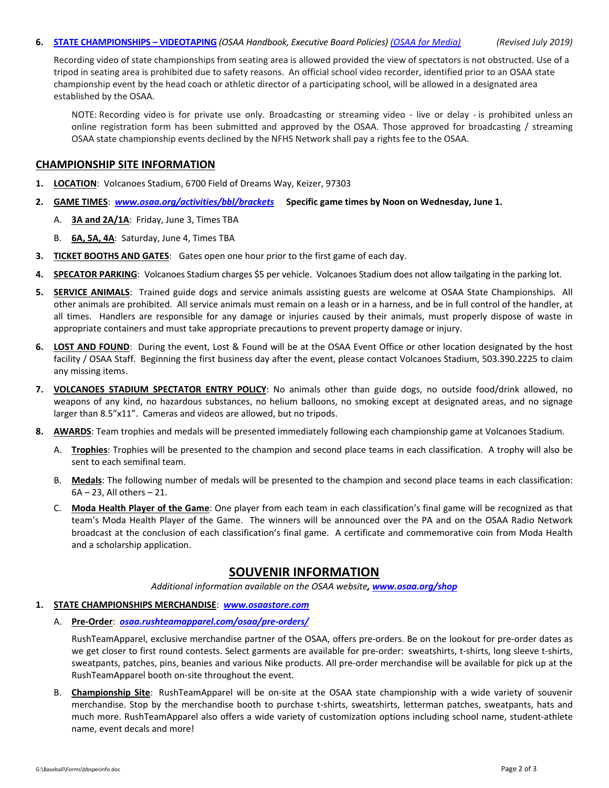#### 6. **STATE [CHAMPIONSHIPS](https://www.osaa.org/governance/handbooks/osaa#_Toc456100461) - VIDEOTAPING** (OSAA Handbook, Executive Board Policies) (OSAA for [Media\)](https://www.osaa.org/media) (Revised July 2019)

Recording video of state championships from seating area is allowed provided the view of spectators is not obstructed. Use of a tripod in seating area is prohibited due to safety reasons. An official school video recorder, identified prior to an OSAA state championship event by the head coach or athletic director of a participating school, will be allowed in a designated area established by the OSAA.

NOTE: Recording video is for private use only. Broadcasting or streaming video - live or delay - is prohibited unless an online registration form has been submitted and approved by the OSAA. Those approved for broadcasting / streaming OSAA state championship events declined by the NFHS Network shall pay a rights fee to the OSAA.

## **CHAMPIONSHIP SITE INFORMATION**

- **1. LOCATION**: Volcanoes Stadium, 6700 Field of Dreams Way, Keizer, 97303
- **2. GAME TIMES**: *[www.osaa.org/activities/bbl/brackets](https://www.osaa.org/activities/bbl/brackets)* **Specific game times by Noon on Wednesday, June 1.** 
	- A. **3A and 2A/1A**: Friday, June 3, Times TBA
	- B. **6A, 5A, 4A**: Saturday, June 4, Times TBA
- **3. TICKET BOOTHS AND GATES**: Gates open one hour prior to the first game of each day.
- **4. SPECATOR PARKING**: Volcanoes Stadium charges \$5 per vehicle. Volcanoes Stadium does not allow tailgating in the parking lot.
- **5. SERVICE ANIMALS**: Trained guide dogs and service animals assisting guests are welcome at OSAA State Championships. All other animals are prohibited. All service animals must remain on a leash or in a harness, and be in full control of the handler, at all times. Handlers are responsible for any damage or injuries caused by their animals, must properly dispose of waste in appropriate containers and must take appropriate precautions to prevent property damage or injury.
- **6. LOST AND FOUND**: During the event, Lost & Found will be at the OSAA Event Office or other location designated by the host facility / OSAA Staff. Beginning the first business day after the event, please contact Volcanoes Stadium, 503.390.2225 to claim any missing items.
- **7. VOLCANOES STADIUM SPECTATOR ENTRY POLICY**: No animals other than guide dogs, no outside food/drink allowed, no weapons of any kind, no hazardous substances, no helium balloons, no smoking except at designated areas, and no signage larger than 8.5"x11". Cameras and videos are allowed, but no tripods.
- **8. AWARDS**: Team trophies and medals will be presented immediately following each championship game at Volcanoes Stadium.
	- A. **Trophies**: Trophies will be presented to the champion and second place teams in each classification. A trophy will also be sent to each semifinal team.
	- B. **Medals**: The following number of medals will be presented to the champion and second place teams in each classification: 6A – 23, All others – 21.
	- C. **Moda Health Player of the Game**: One player from each team in each classification's final game will be recognized as that team's Moda Health Player of the Game. The winners will be announced over the PA and on the OSAA Radio Network broadcast at the conclusion of each classification's final game. A certificate and commemorative coin from Moda Health and a scholarship application.

# **SOUVENIR INFORMATION**

*Additional information available on the OSAA website, [www.osaa.org/shop](https://www.osaa.org/shop)*

## **1. STATE CHAMPIONSHIPS MERCHANDISE**: *[www.osaastore.com](https://www.osaastore.com)*

A. **Pre‐Order**:*[osaa.rushteamapparel.com/osaa/pre](https://osaa.rushteamapparel.com/osaa/pre-orders/)‐orders/*

RushTeamApparel, exclusive merchandise partner of the OSAA, offers pre‐orders. Be on the lookout for pre‐order dates as we get closer to first round contests. Select garments are available for pre-order: sweatshirts, t-shirts, long sleeve t-shirts, sweatpants, patches, pins, beanies and various Nike products. All pre‐order merchandise will be available for pick up at the RushTeamApparel booth on‐site throughout the event.

B. **Championship Site**: RushTeamApparel will be on‐site at the OSAA state championship with a wide variety of souvenir merchandise. Stop by the merchandise booth to purchase t‐shirts, sweatshirts, letterman patches, sweatpants, hats and much more. RushTeamApparel also offers a wide variety of customization options including school name, student‐athlete name, event decals and more!